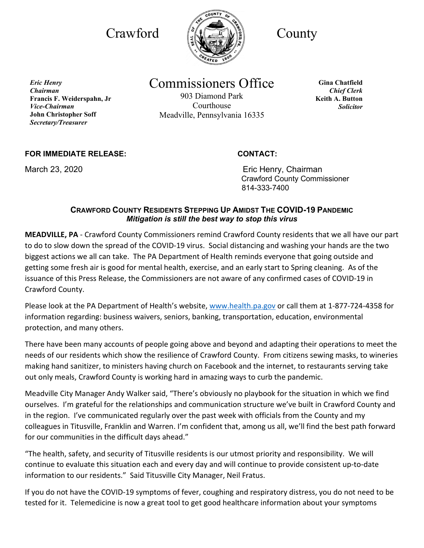

*Eric Henry Chairman* **Francis F. Weiderspahn, Jr**  *Vice-Chairman* **John Christopher Soff** *Secretary/Treasurer*

# Commissioners Office

903 Diamond Park Courthouse Meadville, Pennsylvania 16335

**Gina Chatfield** *Chief Clerk* **Keith A. Button** *Solicitor*

## **FOR IMMEDIATE RELEASE: CONTACT:**

March 23, 2020 **Example 23, 2020** Eric Henry, Chairman Crawford County Commissioner 814-333-7400

### **CRAWFORD COUNTY RESIDENTS STEPPING UP AMIDST THE COVID-19 PANDEMIC** *Mitigation is still the best way to stop this virus*

**MEADVILLE, PA** - Crawford County Commissioners remind Crawford County residents that we all have our part to do to slow down the spread of the COVID-19 virus. Social distancing and washing your hands are the two biggest actions we all can take. The PA Department of Health reminds everyone that going outside and getting some fresh air is good for mental health, exercise, and an early start to Spring cleaning. As of the issuance of this Press Release, the Commissioners are not aware of any confirmed cases of COVID-19 in Crawford County.

Please look at the PA Department of Health's website, [www.health.pa.gov](http://www.health.pa.gov/) or call them at 1-877-724-4358 for information regarding: business waivers, seniors, banking, transportation, education, environmental protection, and many others.

There have been many accounts of people going above and beyond and adapting their operations to meet the needs of our residents which show the resilience of Crawford County. From citizens sewing masks, to wineries making hand sanitizer, to ministers having church on Facebook and the internet, to restaurants serving take out only meals, Crawford County is working hard in amazing ways to curb the pandemic.

Meadville City Manager Andy Walker said, "There's obviously no playbook for the situation in which we find ourselves. I'm grateful for the relationships and communication structure we've built in Crawford County and in the region. I've communicated regularly over the past week with officials from the County and my colleagues in Titusville, Franklin and Warren. I'm confident that, among us all, we'll find the best path forward for our communities in the difficult days ahead."

"The health, safety, and security of Titusville residents is our utmost priority and responsibility. We will continue to evaluate this situation each and every day and will continue to provide consistent up-to-date information to our residents." Said Titusville City Manager, Neil Fratus.

If you do not have the COVID-19 symptoms of fever, coughing and respiratory distress, you do not need to be tested for it. Telemedicine is now a great tool to get good healthcare information about your symptoms